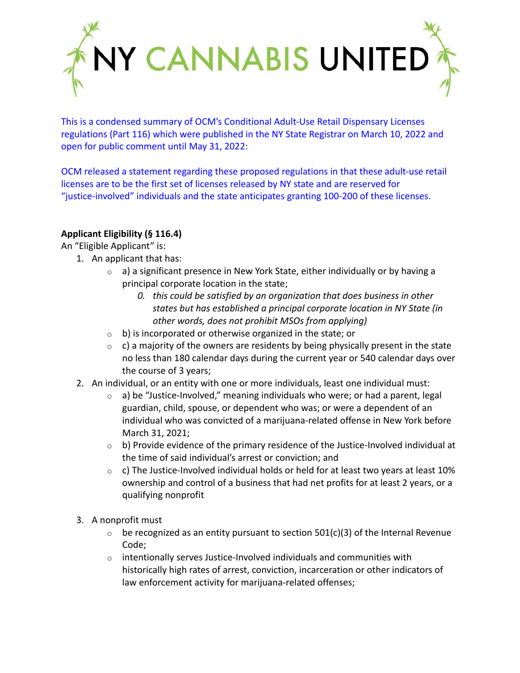

This is a condensed summary of OCM's Conditional Adult-Use Retail Dispensary Licenses regulations (Part 116) which were published in the NY State Registrar on March 10, 2022 and open for public comment until May 31, 2022:

OCM released a statement regarding these proposed regulations in that these adult-use retail licenses are to be the first set of licenses released by NY state and are reserved for "justice-involved" individuals and the state anticipates granting 100-200 of these licenses.

# **Applicant Eligibility (§ 116.4)**

An "Eligible Applicant" is:

- 1. An applicant that has:
	- $\circ$  a) a significant presence in New York State, either individually or by having a principal corporate location in the state;
		- *0. this could be satisfied by an organization that does business in other states but has established a principal corporate location in NY State (in other words, does not prohibit MSOs from applying)*
	- $\circ$  b) is incorporated or otherwise organized in the state; or
	- $\circ$  c) a majority of the owners are residents by being physically present in the state no less than 180 calendar days during the current year or 540 calendar days over the course of 3 years;
- 2. An individual, or an entity with one or more individuals, least one individual must:
	- $\circ$  a) be "Justice-Involved," meaning individuals who were; or had a parent, legal guardian, child, spouse, or dependent who was; or were a dependent of an individual who was convicted of a marijuana-related offense in New York before March 31, 2021;
	- $\circ$  b) Provide evidence of the primary residence of the Justice-Involved individual at the time of said individual's arrest or conviction; and
	- $\circ$  c) The Justice-Involved individual holds or held for at least two years at least 10% ownership and control of a business that had net profits for at least 2 years, or a qualifying nonprofit
- 3. A nonprofit must
	- $\circ$  be recognized as an entity pursuant to section 501(c)(3) of the Internal Revenue Code;
	- $\circ$  intentionally serves Justice-Involved individuals and communities with historically high rates of arrest, conviction, incarceration or other indicators of law enforcement activity for marijuana-related offenses;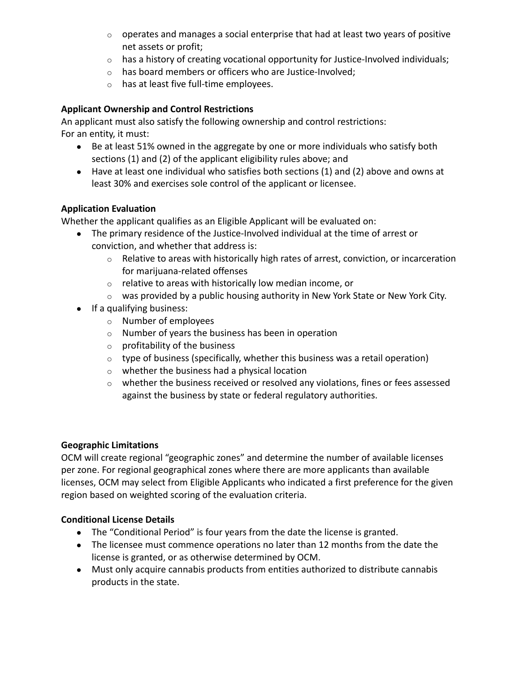- $\circ$  operates and manages a social enterprise that had at least two years of positive net assets or profit;
- o has a history of creating vocational opportunity for Justice-Involved individuals;
- o has board members or officers who are Justice-Involved;
- o has at least five full-time employees.

# **Applicant Ownership and Control Restrictions**

An applicant must also satisfy the following ownership and control restrictions: For an entity, it must:

- Be at least 51% owned in the aggregate by one or more individuals who satisfy both sections (1) and (2) of the applicant eligibility rules above; and
- Have at least one individual who satisfies both sections (1) and (2) above and owns at least 30% and exercises sole control of the applicant or licensee.

# **Application Evaluation**

Whether the applicant qualifies as an Eligible Applicant will be evaluated on:

- The primary residence of the Justice-Involved individual at the time of arrest or conviction, and whether that address is:
	- $\circ$  Relative to areas with historically high rates of arrest, conviction, or incarceration for marijuana-related offenses
	- o relative to areas with historically low median income, or
	- $\circ$  was provided by a public housing authority in New York State or New York City.
- If a qualifying business:
	- o Number of employees
	- o Number of years the business has been in operation
	- o profitability of the business
	- $\circ$  type of business (specifically, whether this business was a retail operation)
	- o whether the business had a physical location
	- o whether the business received or resolved any violations, fines or fees assessed against the business by state or federal regulatory authorities.

## **Geographic Limitations**

OCM will create regional "geographic zones" and determine the number of available licenses per zone. For regional geographical zones where there are more applicants than available licenses, OCM may select from Eligible Applicants who indicated a first preference for the given region based on weighted scoring of the evaluation criteria.

## **Conditional License Details**

- The "Conditional Period" is four years from the date the license is granted.
- The licensee must commence operations no later than 12 months from the date the license is granted, or as otherwise determined by OCM.
- Must only acquire cannabis products from entities authorized to distribute cannabis products in the state.